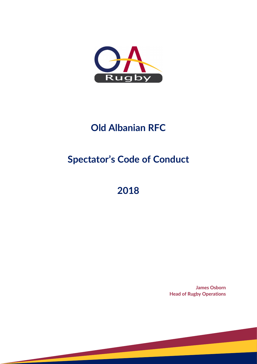

## **Old Albanian RFC**

# **Spectator's Code of Conduct**

## **2018**

**James Osborn Head of Rugby Operations**